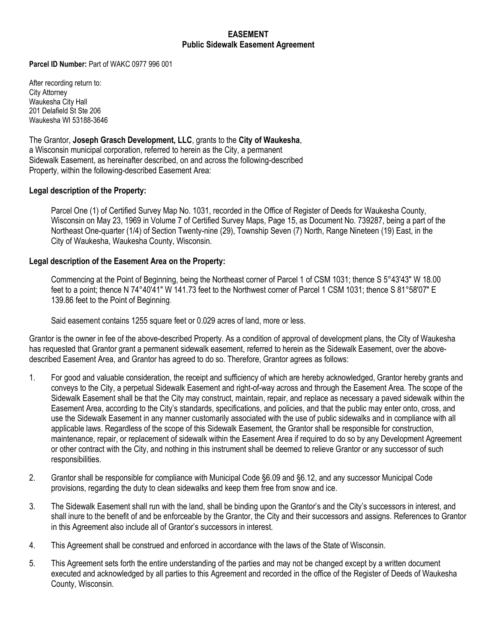## **EASEMENT Public Sidewalk Easement Agreement**

**Parcel ID Number:** Part of WAKC 0977 996 001

After recording return to: City Attorney Waukesha City Hall 201 Delafield St Ste 206 Waukesha WI 53188-3646

The Grantor, **Joseph Grasch Development, LLC**, grants to the **City of Waukesha**, a Wisconsin municipal corporation, referred to herein as the City, a permanent Sidewalk Easement, as hereinafter described, on and across the following-described Property, within the following-described Easement Area:

## **Legal description of the Property:**

Parcel One (1) of Certified Survey Map No. 1031, recorded in the Office of Register of Deeds for Waukesha County, Wisconsin on May 23, 1969 in Volume 7 of Certified Survey Maps, Page 15, as Document No. 739287, being a part of the Northeast One-quarter (1/4) of Section Twenty-nine (29), Township Seven (7) North, Range Nineteen (19) East, in the City of Waukesha, Waukesha County, Wisconsin.

## **Legal description of the Easement Area on the Property:**

Commencing at the Point of Beginning, being the Northeast corner of Parcel 1 of CSM 1031; thence S 5°43'43" W 18.00 feet to a point; thence N 74°40'41" W 141.73 feet to the Northwest corner of Parcel 1 CSM 1031; thence S 81°58'07" E 139.86 feet to the Point of Beginning.

Said easement contains 1255 square feet or 0.029 acres of land, more or less.

Grantor is the owner in fee of the above-described Property. As a condition of approval of development plans, the City of Waukesha has requested that Grantor grant a permanent sidewalk easement, referred to herein as the Sidewalk Easement, over the abovedescribed Easement Area, and Grantor has agreed to do so. Therefore, Grantor agrees as follows:

- 1. For good and valuable consideration, the receipt and sufficiency of which are hereby acknowledged, Grantor hereby grants and conveys to the City, a perpetual Sidewalk Easement and right-of-way across and through the Easement Area. The scope of the Sidewalk Easement shall be that the City may construct, maintain, repair, and replace as necessary a paved sidewalk within the Easement Area, according to the City's standards, specifications, and policies, and that the public may enter onto, cross, and use the Sidewalk Easement in any manner customarily associated with the use of public sidewalks and in compliance with all applicable laws. Regardless of the scope of this Sidewalk Easement, the Grantor shall be responsible for construction, maintenance, repair, or replacement of sidewalk within the Easement Area if required to do so by any Development Agreement or other contract with the City, and nothing in this instrument shall be deemed to relieve Grantor or any successor of such responsibilities.
- 2. Grantor shall be responsible for compliance with Municipal Code §6.09 and §6.12, and any successor Municipal Code provisions, regarding the duty to clean sidewalks and keep them free from snow and ice.
- 3. The Sidewalk Easement shall run with the land, shall be binding upon the Grantor's and the City's successors in interest, and shall inure to the benefit of and be enforceable by the Grantor, the City and their successors and assigns. References to Grantor in this Agreement also include all of Grantor's successors in interest.
- 4. This Agreement shall be construed and enforced in accordance with the laws of the State of Wisconsin.
- 5. This Agreement sets forth the entire understanding of the parties and may not be changed except by a written document executed and acknowledged by all parties to this Agreement and recorded in the office of the Register of Deeds of Waukesha County, Wisconsin.